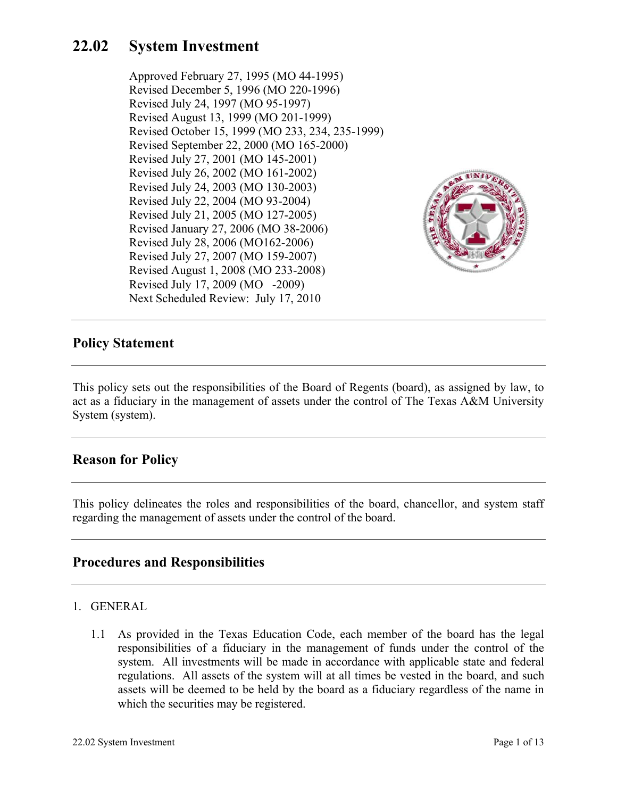# **22.02 System Investment**

Approved February 27, 1995 (MO 44-1995) Revised December 5, 1996 (MO 220-1996) Revised July 24, 1997 (MO 95-1997) Revised August 13, 1999 (MO 201-1999) Revised October 15, 1999 (MO 233, 234, 235-1999) Revised September 22, 2000 (MO 165-2000) Revised July 27, 2001 (MO 145-2001) Revised July 26, 2002 (MO 161-2002) Revised July 24, 2003 (MO 130-2003) Revised July 22, 2004 (MO 93-2004) Revised July 21, 2005 (MO 127-2005) Revised January 27, 2006 (MO 38-2006) Revised July 28, 2006 (MO162-2006) Revised July 27, 2007 (MO 159-2007) Revised August 1, 2008 (MO 233-2008) Revised July 17, 2009 (MO -2009) Next Scheduled Review: July 17, 2010



## **Policy Statement**

This policy sets out the responsibilities of the Board of Regents (board), as assigned by law, to act as a fiduciary in the management of assets under the control of The Texas A&M University System (system).

## **Reason for Policy**

This policy delineates the roles and responsibilities of the board, chancellor, and system staff regarding the management of assets under the control of the board.

## **Procedures and Responsibilities**

- 1. GENERAL
	- 1.1 As provided in the Texas Education Code, each member of the board has the legal responsibilities of a fiduciary in the management of funds under the control of the system. All investments will be made in accordance with applicable state and federal regulations. All assets of the system will at all times be vested in the board, and such assets will be deemed to be held by the board as a fiduciary regardless of the name in which the securities may be registered.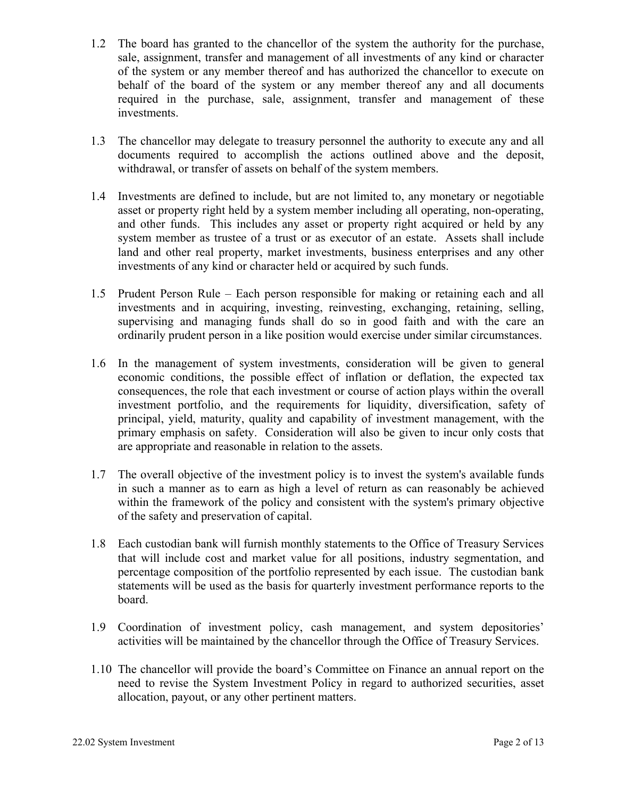- 1.2 The board has granted to the chancellor of the system the authority for the purchase, sale, assignment, transfer and management of all investments of any kind or character of the system or any member thereof and has authorized the chancellor to execute on behalf of the board of the system or any member thereof any and all documents required in the purchase, sale, assignment, transfer and management of these investments.
- 1.3 The chancellor may delegate to treasury personnel the authority to execute any and all documents required to accomplish the actions outlined above and the deposit, withdrawal, or transfer of assets on behalf of the system members.
- 1.4 Investments are defined to include, but are not limited to, any monetary or negotiable asset or property right held by a system member including all operating, non-operating, and other funds. This includes any asset or property right acquired or held by any system member as trustee of a trust or as executor of an estate. Assets shall include land and other real property, market investments, business enterprises and any other investments of any kind or character held or acquired by such funds.
- 1.5 Prudent Person Rule Each person responsible for making or retaining each and all investments and in acquiring, investing, reinvesting, exchanging, retaining, selling, supervising and managing funds shall do so in good faith and with the care an ordinarily prudent person in a like position would exercise under similar circumstances.
- 1.6 In the management of system investments, consideration will be given to general economic conditions, the possible effect of inflation or deflation, the expected tax consequences, the role that each investment or course of action plays within the overall investment portfolio, and the requirements for liquidity, diversification, safety of principal, yield, maturity, quality and capability of investment management, with the primary emphasis on safety. Consideration will also be given to incur only costs that are appropriate and reasonable in relation to the assets.
- 1.7 The overall objective of the investment policy is to invest the system's available funds in such a manner as to earn as high a level of return as can reasonably be achieved within the framework of the policy and consistent with the system's primary objective of the safety and preservation of capital.
- 1.8 Each custodian bank will furnish monthly statements to the Office of Treasury Services that will include cost and market value for all positions, industry segmentation, and percentage composition of the portfolio represented by each issue. The custodian bank statements will be used as the basis for quarterly investment performance reports to the board.
- 1.9 Coordination of investment policy, cash management, and system depositories' activities will be maintained by the chancellor through the Office of Treasury Services.
- 1.10 The chancellor will provide the board's Committee on Finance an annual report on the need to revise the System Investment Policy in regard to authorized securities, asset allocation, payout, or any other pertinent matters.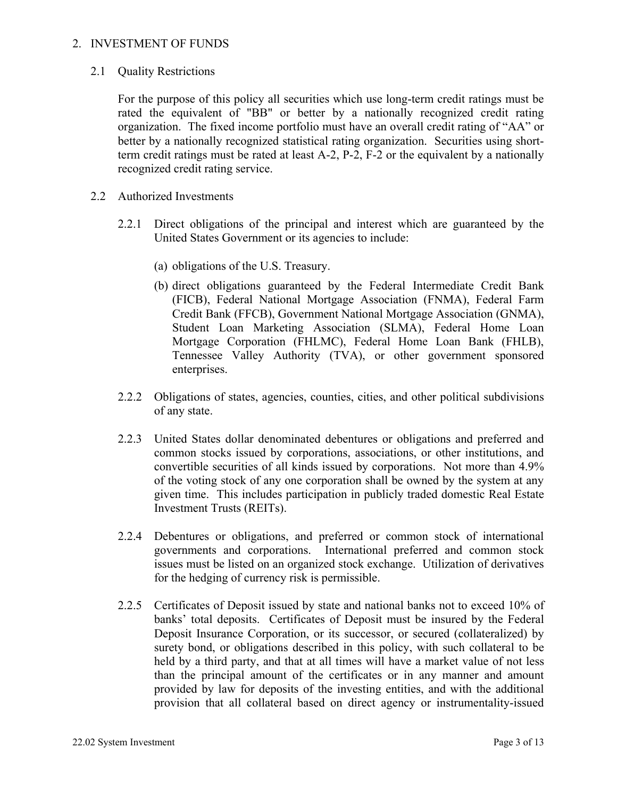#### 2. INVESTMENT OF FUNDS

2.1 Quality Restrictions

 For the purpose of this policy all securities which use long-term credit ratings must be rated the equivalent of "BB" or better by a nationally recognized credit rating organization. The fixed income portfolio must have an overall credit rating of "AA" or better by a nationally recognized statistical rating organization. Securities using shortterm credit ratings must be rated at least A-2, P-2, F-2 or the equivalent by a nationally recognized credit rating service.

- 2.2 Authorized Investments
	- 2.2.1 Direct obligations of the principal and interest which are guaranteed by the United States Government or its agencies to include:
		- (a) obligations of the U.S. Treasury.
		- (b) direct obligations guaranteed by the Federal Intermediate Credit Bank (FICB), Federal National Mortgage Association (FNMA), Federal Farm Credit Bank (FFCB), Government National Mortgage Association (GNMA), Student Loan Marketing Association (SLMA), Federal Home Loan Mortgage Corporation (FHLMC), Federal Home Loan Bank (FHLB), Tennessee Valley Authority (TVA), or other government sponsored enterprises.
	- 2.2.2 Obligations of states, agencies, counties, cities, and other political subdivisions of any state.
	- 2.2.3 United States dollar denominated debentures or obligations and preferred and common stocks issued by corporations, associations, or other institutions, and convertible securities of all kinds issued by corporations. Not more than 4.9% of the voting stock of any one corporation shall be owned by the system at any given time. This includes participation in publicly traded domestic Real Estate Investment Trusts (REITs).
	- 2.2.4 Debentures or obligations, and preferred or common stock of international governments and corporations. International preferred and common stock issues must be listed on an organized stock exchange. Utilization of derivatives for the hedging of currency risk is permissible.
	- 2.2.5 Certificates of Deposit issued by state and national banks not to exceed 10% of banks' total deposits. Certificates of Deposit must be insured by the Federal Deposit Insurance Corporation, or its successor, or secured (collateralized) by surety bond, or obligations described in this policy, with such collateral to be held by a third party, and that at all times will have a market value of not less than the principal amount of the certificates or in any manner and amount provided by law for deposits of the investing entities, and with the additional provision that all collateral based on direct agency or instrumentality-issued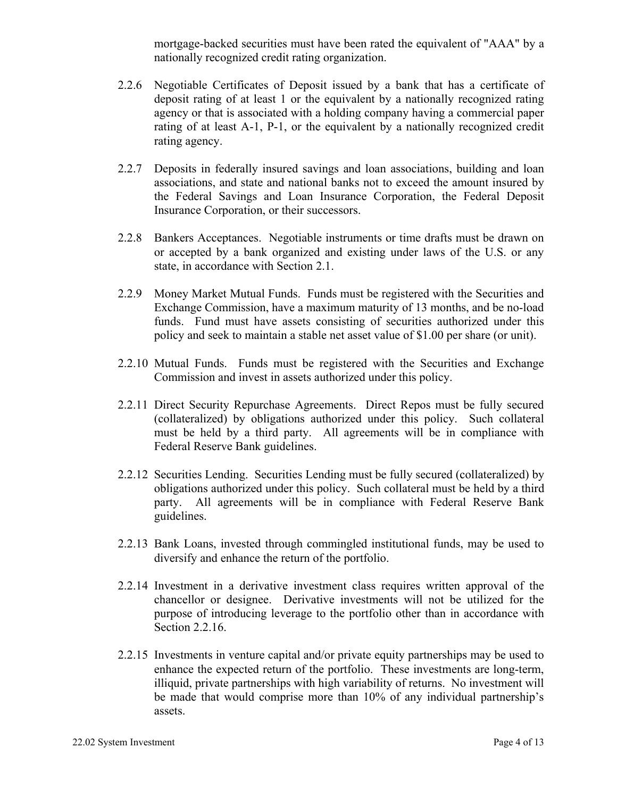mortgage-backed securities must have been rated the equivalent of "AAA" by a nationally recognized credit rating organization.

- 2.2.6 Negotiable Certificates of Deposit issued by a bank that has a certificate of deposit rating of at least 1 or the equivalent by a nationally recognized rating agency or that is associated with a holding company having a commercial paper rating of at least A-1, P-1, or the equivalent by a nationally recognized credit rating agency.
- 2.2.7 Deposits in federally insured savings and loan associations, building and loan associations, and state and national banks not to exceed the amount insured by the Federal Savings and Loan Insurance Corporation, the Federal Deposit Insurance Corporation, or their successors.
- 2.2.8 Bankers Acceptances. Negotiable instruments or time drafts must be drawn on or accepted by a bank organized and existing under laws of the U.S. or any state, in accordance with Section 2.1.
- 2.2.9 Money Market Mutual Funds. Funds must be registered with the Securities and Exchange Commission, have a maximum maturity of 13 months, and be no-load funds. Fund must have assets consisting of securities authorized under this policy and seek to maintain a stable net asset value of \$1.00 per share (or unit).
- 2.2.10 Mutual Funds. Funds must be registered with the Securities and Exchange Commission and invest in assets authorized under this policy.
- 2.2.11 Direct Security Repurchase Agreements. Direct Repos must be fully secured (collateralized) by obligations authorized under this policy. Such collateral must be held by a third party. All agreements will be in compliance with Federal Reserve Bank guidelines.
- 2.2.12 Securities Lending. Securities Lending must be fully secured (collateralized) by obligations authorized under this policy. Such collateral must be held by a third party. All agreements will be in compliance with Federal Reserve Bank guidelines.
- 2.2.13 Bank Loans, invested through commingled institutional funds, may be used to diversify and enhance the return of the portfolio.
- 2.2.14 Investment in a derivative investment class requires written approval of the chancellor or designee. Derivative investments will not be utilized for the purpose of introducing leverage to the portfolio other than in accordance with Section 2.2.16.
- 2.2.15 Investments in venture capital and/or private equity partnerships may be used to enhance the expected return of the portfolio. These investments are long-term, illiquid, private partnerships with high variability of returns. No investment will be made that would comprise more than 10% of any individual partnership's assets.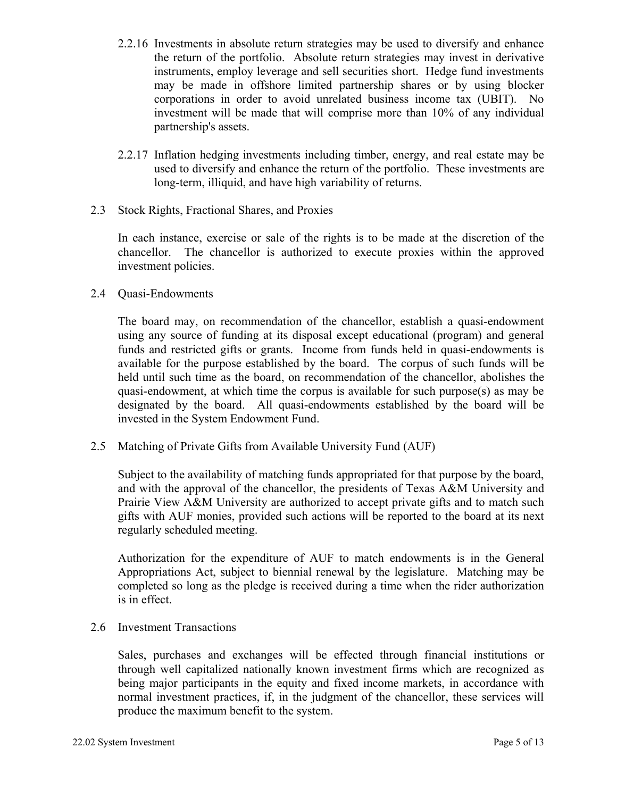- 2.2.16 Investments in absolute return strategies may be used to diversify and enhance the return of the portfolio. Absolute return strategies may invest in derivative instruments, employ leverage and sell securities short. Hedge fund investments may be made in offshore limited partnership shares or by using blocker corporations in order to avoid unrelated business income tax (UBIT). No investment will be made that will comprise more than 10% of any individual partnership's assets.
- 2.2.17 Inflation hedging investments including timber, energy, and real estate may be used to diversify and enhance the return of the portfolio. These investments are long-term, illiquid, and have high variability of returns.
- 2.3 Stock Rights, Fractional Shares, and Proxies

In each instance, exercise or sale of the rights is to be made at the discretion of the chancellor. The chancellor is authorized to execute proxies within the approved investment policies.

2.4 Quasi-Endowments

 The board may, on recommendation of the chancellor, establish a quasi-endowment using any source of funding at its disposal except educational (program) and general funds and restricted gifts or grants. Income from funds held in quasi-endowments is available for the purpose established by the board. The corpus of such funds will be held until such time as the board, on recommendation of the chancellor, abolishes the quasi-endowment, at which time the corpus is available for such purpose(s) as may be designated by the board. All quasi-endowments established by the board will be invested in the System Endowment Fund.

2.5 Matching of Private Gifts from Available University Fund (AUF)

 Subject to the availability of matching funds appropriated for that purpose by the board, and with the approval of the chancellor, the presidents of Texas A&M University and Prairie View A&M University are authorized to accept private gifts and to match such gifts with AUF monies, provided such actions will be reported to the board at its next regularly scheduled meeting.

 Authorization for the expenditure of AUF to match endowments is in the General Appropriations Act, subject to biennial renewal by the legislature. Matching may be completed so long as the pledge is received during a time when the rider authorization is in effect.

2.6 Investment Transactions

Sales, purchases and exchanges will be effected through financial institutions or through well capitalized nationally known investment firms which are recognized as being major participants in the equity and fixed income markets, in accordance with normal investment practices, if, in the judgment of the chancellor, these services will produce the maximum benefit to the system.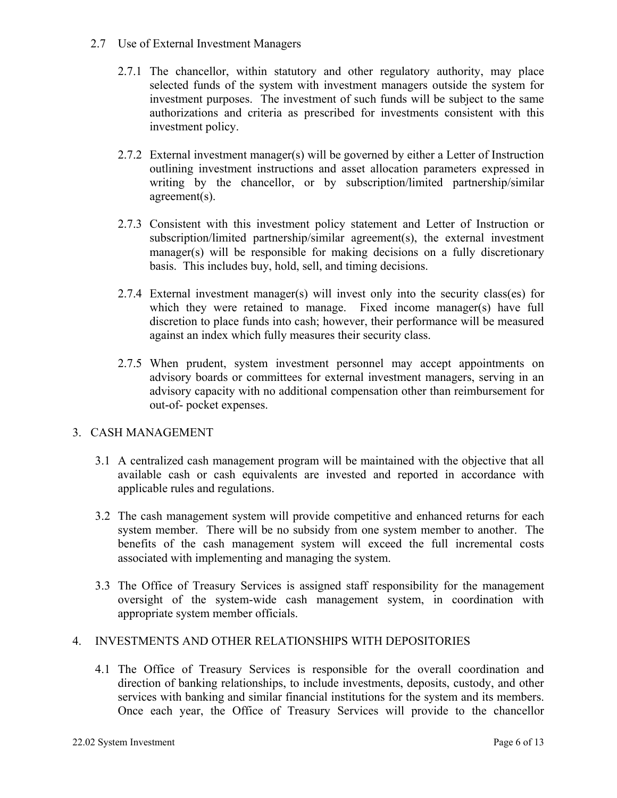- 2.7 Use of External Investment Managers
	- 2.7.1 The chancellor, within statutory and other regulatory authority, may place selected funds of the system with investment managers outside the system for investment purposes. The investment of such funds will be subject to the same authorizations and criteria as prescribed for investments consistent with this investment policy.
	- 2.7.2 External investment manager(s) will be governed by either a Letter of Instruction outlining investment instructions and asset allocation parameters expressed in writing by the chancellor, or by subscription/limited partnership/similar agreement(s).
	- 2.7.3 Consistent with this investment policy statement and Letter of Instruction or subscription/limited partnership/similar agreement(s), the external investment manager(s) will be responsible for making decisions on a fully discretionary basis. This includes buy, hold, sell, and timing decisions.
	- 2.7.4 External investment manager(s) will invest only into the security class(es) for which they were retained to manage. Fixed income manager(s) have full discretion to place funds into cash; however, their performance will be measured against an index which fully measures their security class.
	- 2.7.5 When prudent, system investment personnel may accept appointments on advisory boards or committees for external investment managers, serving in an advisory capacity with no additional compensation other than reimbursement for out-of- pocket expenses.

## 3. CASH MANAGEMENT

- 3.1 A centralized cash management program will be maintained with the objective that all available cash or cash equivalents are invested and reported in accordance with applicable rules and regulations.
- 3.2 The cash management system will provide competitive and enhanced returns for each system member. There will be no subsidy from one system member to another. The benefits of the cash management system will exceed the full incremental costs associated with implementing and managing the system.
- 3.3 The Office of Treasury Services is assigned staff responsibility for the management oversight of the system-wide cash management system, in coordination with appropriate system member officials.

## 4. INVESTMENTS AND OTHER RELATIONSHIPS WITH DEPOSITORIES

4.1 The Office of Treasury Services is responsible for the overall coordination and direction of banking relationships, to include investments, deposits, custody, and other services with banking and similar financial institutions for the system and its members. Once each year, the Office of Treasury Services will provide to the chancellor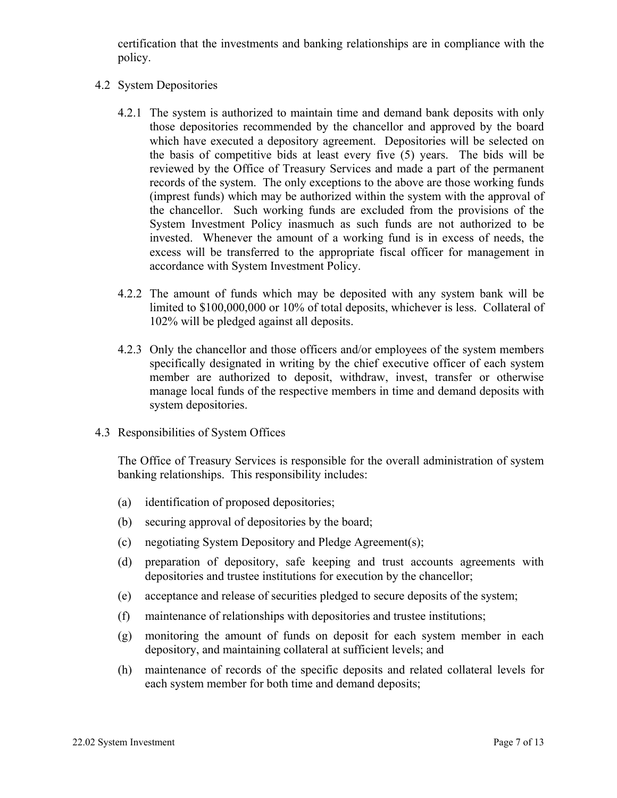certification that the investments and banking relationships are in compliance with the policy.

- 4.2 System Depositories
	- 4.2.1 The system is authorized to maintain time and demand bank deposits with only those depositories recommended by the chancellor and approved by the board which have executed a depository agreement. Depositories will be selected on the basis of competitive bids at least every five (5) years. The bids will be reviewed by the Office of Treasury Services and made a part of the permanent records of the system. The only exceptions to the above are those working funds (imprest funds) which may be authorized within the system with the approval of the chancellor. Such working funds are excluded from the provisions of the System Investment Policy inasmuch as such funds are not authorized to be invested. Whenever the amount of a working fund is in excess of needs, the excess will be transferred to the appropriate fiscal officer for management in accordance with System Investment Policy.
	- 4.2.2 The amount of funds which may be deposited with any system bank will be limited to \$100,000,000 or 10% of total deposits, whichever is less. Collateral of 102% will be pledged against all deposits.
	- 4.2.3 Only the chancellor and those officers and/or employees of the system members specifically designated in writing by the chief executive officer of each system member are authorized to deposit, withdraw, invest, transfer or otherwise manage local funds of the respective members in time and demand deposits with system depositories.
- 4.3 Responsibilities of System Offices

The Office of Treasury Services is responsible for the overall administration of system banking relationships. This responsibility includes:

- (a) identification of proposed depositories;
- (b) securing approval of depositories by the board;
- (c) negotiating System Depository and Pledge Agreement(s);
- (d) preparation of depository, safe keeping and trust accounts agreements with depositories and trustee institutions for execution by the chancellor;
- (e) acceptance and release of securities pledged to secure deposits of the system;
- (f) maintenance of relationships with depositories and trustee institutions;
- (g) monitoring the amount of funds on deposit for each system member in each depository, and maintaining collateral at sufficient levels; and
- (h) maintenance of records of the specific deposits and related collateral levels for each system member for both time and demand deposits;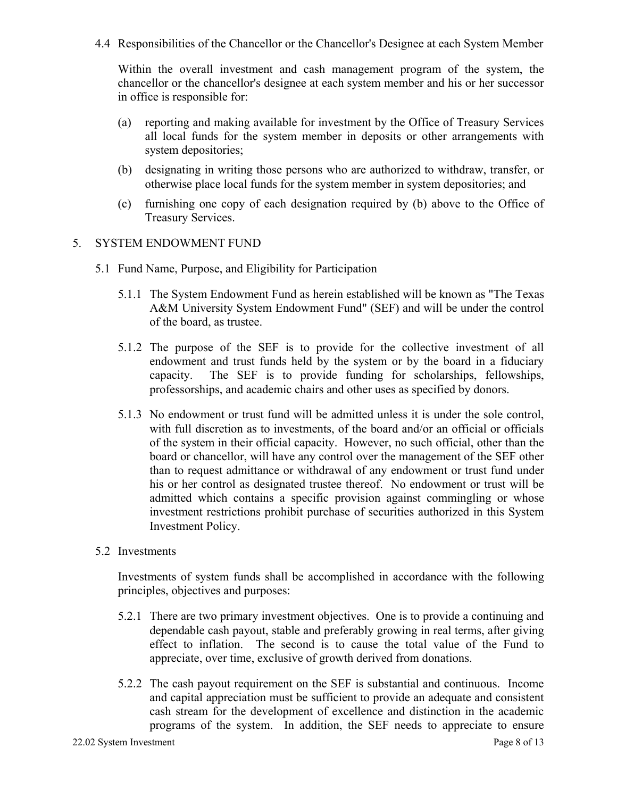4.4 Responsibilities of the Chancellor or the Chancellor's Designee at each System Member

Within the overall investment and cash management program of the system, the chancellor or the chancellor's designee at each system member and his or her successor in office is responsible for:

- (a) reporting and making available for investment by the Office of Treasury Services all local funds for the system member in deposits or other arrangements with system depositories;
- (b) designating in writing those persons who are authorized to withdraw, transfer, or otherwise place local funds for the system member in system depositories; and
- (c) furnishing one copy of each designation required by (b) above to the Office of Treasury Services.

### 5. SYSTEM ENDOWMENT FUND

- 5.1 Fund Name, Purpose, and Eligibility for Participation
	- 5.1.1 The System Endowment Fund as herein established will be known as "The Texas A&M University System Endowment Fund" (SEF) and will be under the control of the board, as trustee.
	- 5.1.2 The purpose of the SEF is to provide for the collective investment of all endowment and trust funds held by the system or by the board in a fiduciary capacity. The SEF is to provide funding for scholarships, fellowships, professorships, and academic chairs and other uses as specified by donors.
	- 5.1.3 No endowment or trust fund will be admitted unless it is under the sole control, with full discretion as to investments, of the board and/or an official or officials of the system in their official capacity. However, no such official, other than the board or chancellor, will have any control over the management of the SEF other than to request admittance or withdrawal of any endowment or trust fund under his or her control as designated trustee thereof. No endowment or trust will be admitted which contains a specific provision against commingling or whose investment restrictions prohibit purchase of securities authorized in this System Investment Policy.
- 5.2 Investments

Investments of system funds shall be accomplished in accordance with the following principles, objectives and purposes:

- 5.2.1 There are two primary investment objectives. One is to provide a continuing and dependable cash payout, stable and preferably growing in real terms, after giving effect to inflation. The second is to cause the total value of the Fund to appreciate, over time, exclusive of growth derived from donations.
- 5.2.2 The cash payout requirement on the SEF is substantial and continuous. Income and capital appreciation must be sufficient to provide an adequate and consistent cash stream for the development of excellence and distinction in the academic programs of the system. In addition, the SEF needs to appreciate to ensure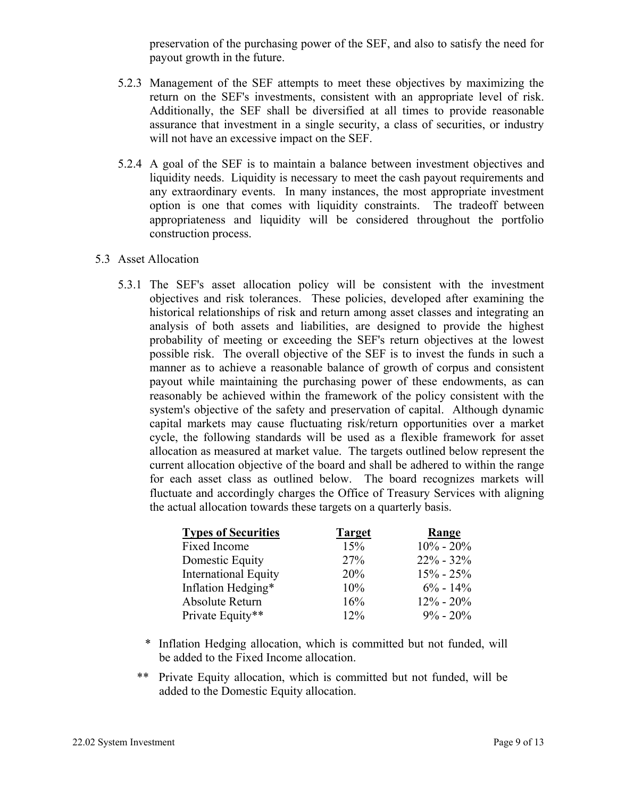preservation of the purchasing power of the SEF, and also to satisfy the need for payout growth in the future.

- 5.2.3 Management of the SEF attempts to meet these objectives by maximizing the return on the SEF's investments, consistent with an appropriate level of risk. Additionally, the SEF shall be diversified at all times to provide reasonable assurance that investment in a single security, a class of securities, or industry will not have an excessive impact on the SEF.
- 5.2.4 A goal of the SEF is to maintain a balance between investment objectives and liquidity needs. Liquidity is necessary to meet the cash payout requirements and any extraordinary events. In many instances, the most appropriate investment option is one that comes with liquidity constraints. The tradeoff between appropriateness and liquidity will be considered throughout the portfolio construction process.

#### 5.3 Asset Allocation

5.3.1 The SEF's asset allocation policy will be consistent with the investment objectives and risk tolerances. These policies, developed after examining the historical relationships of risk and return among asset classes and integrating an analysis of both assets and liabilities, are designed to provide the highest probability of meeting or exceeding the SEF's return objectives at the lowest possible risk. The overall objective of the SEF is to invest the funds in such a manner as to achieve a reasonable balance of growth of corpus and consistent payout while maintaining the purchasing power of these endowments, as can reasonably be achieved within the framework of the policy consistent with the system's objective of the safety and preservation of capital. Although dynamic capital markets may cause fluctuating risk/return opportunities over a market cycle, the following standards will be used as a flexible framework for asset allocation as measured at market value. The targets outlined below represent the current allocation objective of the board and shall be adhered to within the range for each asset class as outlined below. The board recognizes markets will fluctuate and accordingly charges the Office of Treasury Services with aligning the actual allocation towards these targets on a quarterly basis.

| <b>Types of Securities</b>  | <b>Target</b> | Range         |
|-----------------------------|---------------|---------------|
| Fixed Income                | 15%           | $10\% - 20\%$ |
| Domestic Equity             | 27%           | $22\% - 32\%$ |
| <b>International Equity</b> | 20%           | $15\% - 25\%$ |
| Inflation Hedging*          | 10%           | $6\% - 14\%$  |
| Absolute Return             | 16%           | $12\% - 20\%$ |
| Private Equity**            | 12%           | $9\% - 20\%$  |

- \* Inflation Hedging allocation, which is committed but not funded, will be added to the Fixed Income allocation.
- \*\* Private Equity allocation, which is committed but not funded, will be added to the Domestic Equity allocation.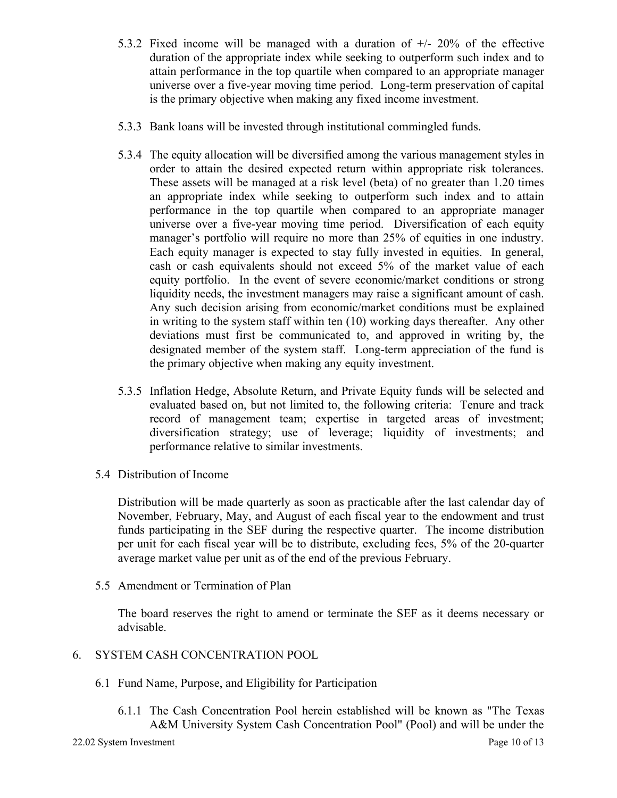- 5.3.2 Fixed income will be managed with a duration of +/- 20% of the effective duration of the appropriate index while seeking to outperform such index and to attain performance in the top quartile when compared to an appropriate manager universe over a five-year moving time period. Long-term preservation of capital is the primary objective when making any fixed income investment.
- 5.3.3 Bank loans will be invested through institutional commingled funds.
- 5.3.4 The equity allocation will be diversified among the various management styles in order to attain the desired expected return within appropriate risk tolerances. These assets will be managed at a risk level (beta) of no greater than 1.20 times an appropriate index while seeking to outperform such index and to attain performance in the top quartile when compared to an appropriate manager universe over a five-year moving time period. Diversification of each equity manager's portfolio will require no more than 25% of equities in one industry. Each equity manager is expected to stay fully invested in equities. In general, cash or cash equivalents should not exceed 5% of the market value of each equity portfolio. In the event of severe economic/market conditions or strong liquidity needs, the investment managers may raise a significant amount of cash. Any such decision arising from economic/market conditions must be explained in writing to the system staff within ten (10) working days thereafter. Any other deviations must first be communicated to, and approved in writing by, the designated member of the system staff. Long-term appreciation of the fund is the primary objective when making any equity investment.
- 5.3.5 Inflation Hedge, Absolute Return, and Private Equity funds will be selected and evaluated based on, but not limited to, the following criteria: Tenure and track record of management team; expertise in targeted areas of investment; diversification strategy; use of leverage; liquidity of investments; and performance relative to similar investments.
- 5.4 Distribution of Income

Distribution will be made quarterly as soon as practicable after the last calendar day of November, February, May, and August of each fiscal year to the endowment and trust funds participating in the SEF during the respective quarter. The income distribution per unit for each fiscal year will be to distribute, excluding fees, 5% of the 20-quarter average market value per unit as of the end of the previous February.

5.5 Amendment or Termination of Plan

The board reserves the right to amend or terminate the SEF as it deems necessary or advisable.

## 6. SYSTEM CASH CONCENTRATION POOL

- 6.1 Fund Name, Purpose, and Eligibility for Participation
	- 6.1.1 The Cash Concentration Pool herein established will be known as "The Texas A&M University System Cash Concentration Pool" (Pool) and will be under the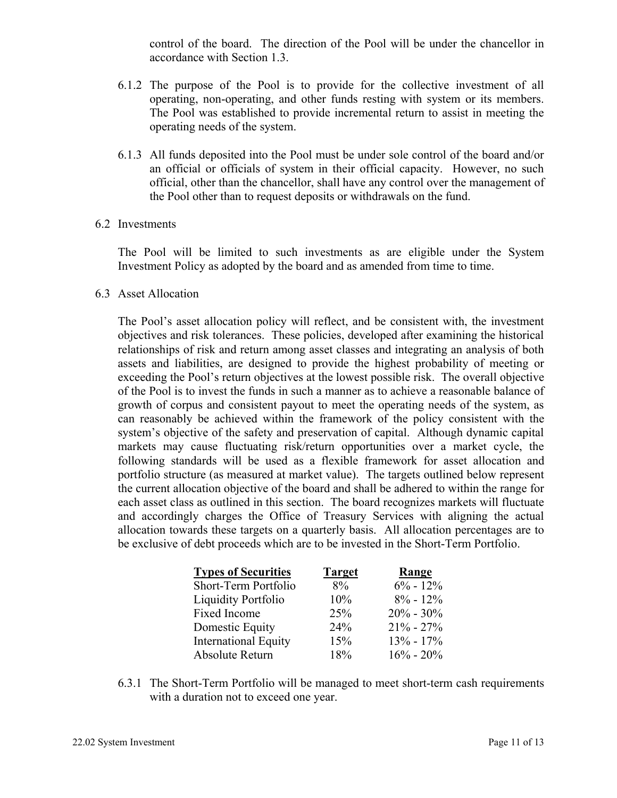control of the board. The direction of the Pool will be under the chancellor in accordance with Section 1.3.

- 6.1.2 The purpose of the Pool is to provide for the collective investment of all operating, non-operating, and other funds resting with system or its members. The Pool was established to provide incremental return to assist in meeting the operating needs of the system.
- 6.1.3 All funds deposited into the Pool must be under sole control of the board and/or an official or officials of system in their official capacity. However, no such official, other than the chancellor, shall have any control over the management of the Pool other than to request deposits or withdrawals on the fund.
- 6.2 Investments

The Pool will be limited to such investments as are eligible under the System Investment Policy as adopted by the board and as amended from time to time.

6.3 Asset Allocation

 The Pool's asset allocation policy will reflect, and be consistent with, the investment objectives and risk tolerances. These policies, developed after examining the historical relationships of risk and return among asset classes and integrating an analysis of both assets and liabilities, are designed to provide the highest probability of meeting or exceeding the Pool's return objectives at the lowest possible risk. The overall objective of the Pool is to invest the funds in such a manner as to achieve a reasonable balance of growth of corpus and consistent payout to meet the operating needs of the system, as can reasonably be achieved within the framework of the policy consistent with the system's objective of the safety and preservation of capital. Although dynamic capital markets may cause fluctuating risk/return opportunities over a market cycle, the following standards will be used as a flexible framework for asset allocation and portfolio structure (as measured at market value). The targets outlined below represent the current allocation objective of the board and shall be adhered to within the range for each asset class as outlined in this section. The board recognizes markets will fluctuate and accordingly charges the Office of Treasury Services with aligning the actual allocation towards these targets on a quarterly basis. All allocation percentages are to be exclusive of debt proceeds which are to be invested in the Short-Term Portfolio.

| <b>Types of Securities</b>  | <b>Target</b> | Range         |
|-----------------------------|---------------|---------------|
| Short-Term Portfolio        | $8\%$         | $6\% - 12\%$  |
| <b>Liquidity Portfolio</b>  | 10%           | $8\% - 12\%$  |
| Fixed Income                | 25%           | $20\% - 30\%$ |
| Domestic Equity             | 24%           | $21\% - 27\%$ |
| <b>International Equity</b> | 15%           | $13\% - 17\%$ |
| Absolute Return             | 18%           | $16\% - 20\%$ |

6.3.1 The Short-Term Portfolio will be managed to meet short-term cash requirements with a duration not to exceed one year.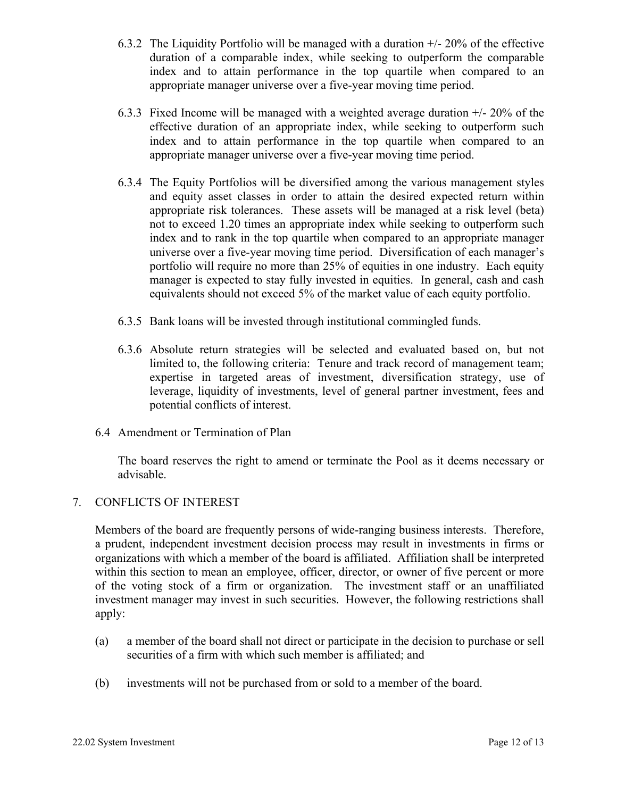- 6.3.2 The Liquidity Portfolio will be managed with a duration +/- 20% of the effective duration of a comparable index, while seeking to outperform the comparable index and to attain performance in the top quartile when compared to an appropriate manager universe over a five-year moving time period.
- 6.3.3 Fixed Income will be managed with a weighted average duration +/- 20% of the effective duration of an appropriate index, while seeking to outperform such index and to attain performance in the top quartile when compared to an appropriate manager universe over a five-year moving time period.
- 6.3.4 The Equity Portfolios will be diversified among the various management styles and equity asset classes in order to attain the desired expected return within appropriate risk tolerances. These assets will be managed at a risk level (beta) not to exceed 1.20 times an appropriate index while seeking to outperform such index and to rank in the top quartile when compared to an appropriate manager universe over a five-year moving time period. Diversification of each manager's portfolio will require no more than 25% of equities in one industry. Each equity manager is expected to stay fully invested in equities. In general, cash and cash equivalents should not exceed 5% of the market value of each equity portfolio.
- 6.3.5 Bank loans will be invested through institutional commingled funds.
- 6.3.6 Absolute return strategies will be selected and evaluated based on, but not limited to, the following criteria: Tenure and track record of management team; expertise in targeted areas of investment, diversification strategy, use of leverage, liquidity of investments, level of general partner investment, fees and potential conflicts of interest.
- 6.4 Amendment or Termination of Plan

 The board reserves the right to amend or terminate the Pool as it deems necessary or advisable.

#### 7. CONFLICTS OF INTEREST

Members of the board are frequently persons of wide-ranging business interests. Therefore, a prudent, independent investment decision process may result in investments in firms or organizations with which a member of the board is affiliated. Affiliation shall be interpreted within this section to mean an employee, officer, director, or owner of five percent or more of the voting stock of a firm or organization. The investment staff or an unaffiliated investment manager may invest in such securities. However, the following restrictions shall apply:

- (a) a member of the board shall not direct or participate in the decision to purchase or sell securities of a firm with which such member is affiliated; and
- (b) investments will not be purchased from or sold to a member of the board.